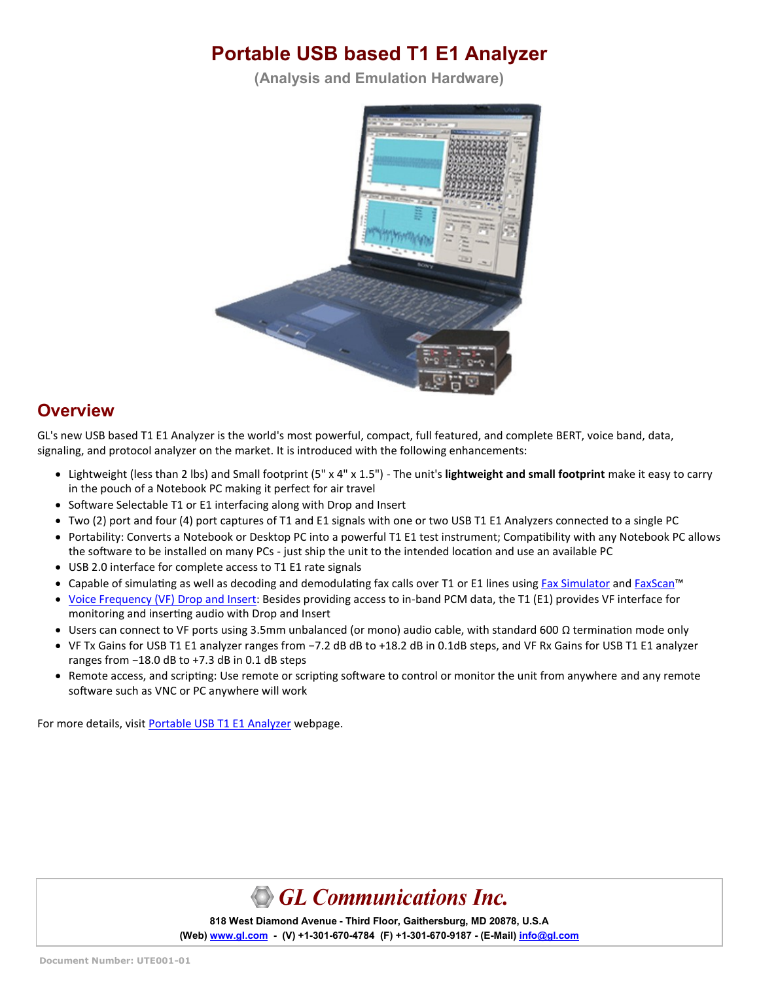# **Portable USB based T1 E1 Analyzer**

**(Analysis and Emulation Hardware)**



#### **Overview**

GL's new USB based T1 E1 Analyzer is the world's most powerful, compact, full featured, and complete BERT, voice band, data, signaling, and protocol analyzer on the market. It is introduced with the following enhancements:

- Lightweight (less than 2 lbs) and Small footprint (5" x 4" x 1.5") The unit's **lightweight and small footprint** make it easy to carry in the pouch of a Notebook PC making it perfect for air travel
- Software Selectable T1 or E1 interfacing along with Drop and Insert
- Two (2) port and four (4) port captures of T1 and E1 signals with one or two USB T1 E1 Analyzers connected to a single PC
- Portability: Converts a Notebook or Desktop PC into a powerful T1 E1 test instrument; Compatibility with any Notebook PC allows the software to be installed on many PCs - just ship the unit to the intended location and use an available PC
- USB 2.0 interface for complete access to T1 E1 rate signals
- Capable of simulating as well as decoding and demodulating fax calls over T1 or E1 lines using [Fax Simulator](https://www.gl.com/wcs-fax-simulation-and-analysis-over-t1-e1.html) and [FaxScan](https://www.gl.com/fax-analysis-over-ip-tdm-pstn.html)<sup>™</sup>
- [Voice Frequency \(VF\) Drop and Insert:](https://www.gl.com/vf-input-output-interfaces-t1-e1-products.html) Besides providing access to in-band PCM data, the T1 (E1) provides VF interface for monitoring and inserting audio with Drop and Insert
- Users can connect to VF ports using 3.5mm unbalanced (or mono) audio cable, with standard 600 Ω termination mode only
- VF Tx Gains for USB T1 E1 analyzer ranges from −7.2 dB dB to +18.2 dB in 0.1dB steps, and VF Rx Gains for USB T1 E1 analyzer ranges from −18.0 dB to +7.3 dB in 0.1 dB steps
- Remote access, and scripting: Use remote or scripting software to control or monitor the unit from anywhere and any remote software such as VNC or PC anywhere will work

For more details, visit [Portable USB T1 E1 Analyzer](https://www.gl.com/dual-t1-e1-vf-usb-portable-units.html) webpage.

GL Communications Inc.

**818 West Diamond Avenue - Third Floor, Gaithersburg, MD 20878, U.S.A** (Web) [www.gl.com](https://www.gl.com) - (V) +1-301-670-4784 (F) +1-301-670-9187 - (E-Mail) [info@gl.com](https://www.gl.com/inforequestform.php)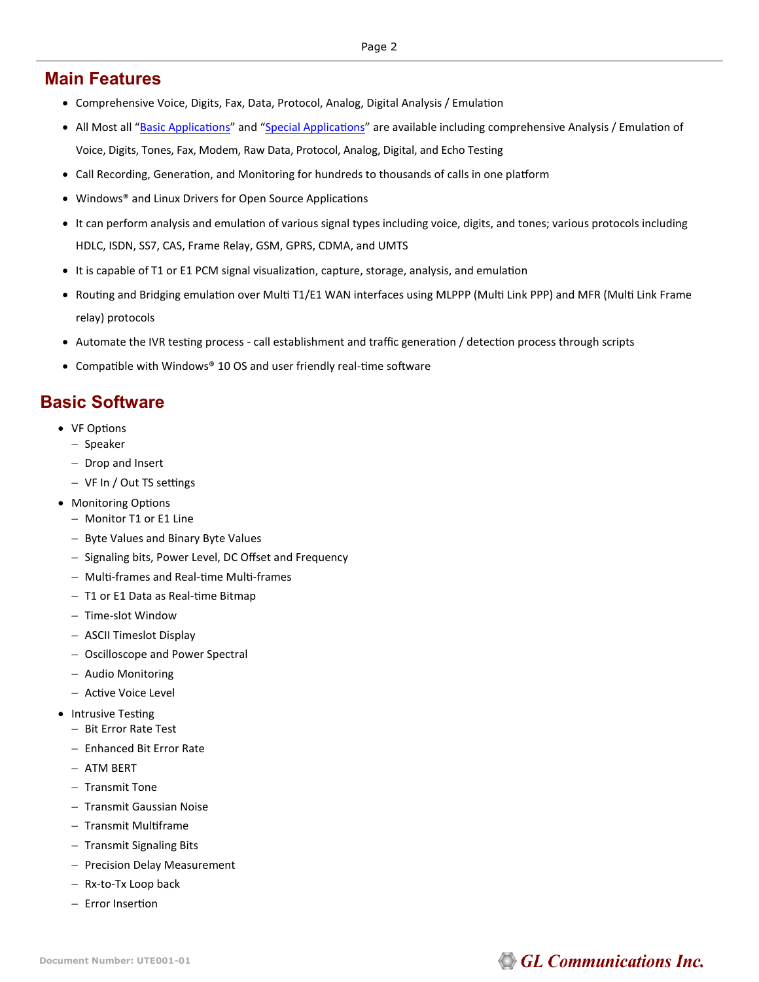#### **Main Features**

- Comprehensive Voice, Digits, Fax, Data, Protocol, Analog, Digital Analysis / Emulation
- All Most all "[Basic Applications](https://www.gl.com/dual-t1-e1-vf-usb-portable-units.html#t1e1-basic-apps)" and "[Special Applications](https://www.gl.com/dual-t1-e1-vf-usb-portable-units.html#t1e1-optional-apps)" are available including comprehensive Analysis / Emulation of Voice, Digits, Tones, Fax, Modem, Raw Data, Protocol, Analog, Digital, and Echo Testing
- Call Recording, Generation, and Monitoring for hundreds to thousands of calls in one platform
- Windows® and Linux Drivers for Open Source Applications
- It can perform analysis and emulation of various signal types including voice, digits, and tones; various protocols including HDLC, ISDN, SS7, CAS, Frame Relay, GSM, GPRS, CDMA, and UMTS
- It is capable of T1 or E1 PCM signal visualization, capture, storage, analysis, and emulation
- Routing and Bridging emulation over Multi T1/E1 WAN interfaces using MLPPP (Multi Link PPP) and MFR (Multi Link Frame relay) protocols
- Automate the IVR testing process call establishment and traffic generation / detection process through scripts
- Compatible with Windows® 10 OS and user friendly real-time software

#### **Basic Software**

- VF Options
	- − Speaker
	- − Drop and Insert
	- − VF In / Out TS settings
- Monitoring Options
	- − Monitor T1 or E1 Line
	- − Byte Values and Binary Byte Values
	- − Signaling bits, Power Level, DC Offset and Frequency
	- − Multi-frames and Real-time Multi-frames
	- − T1 or E1 Data as Real-time Bitmap
	- − Time-slot Window
	- − ASCII Timeslot Display
	- − Oscilloscope and Power Spectral
	- − Audio Monitoring
	- − Active Voice Level
- Intrusive Testing
	- − Bit Error Rate Test
	- − Enhanced Bit Error Rate
	- − ATM BERT
	- − Transmit Tone
	- − Transmit Gaussian Noise
	- − Transmit Multiframe
	- − Transmit Signaling Bits
	- − Precision Delay Measurement
	- − Rx-to-Tx Loop back
	- − Error Insertion

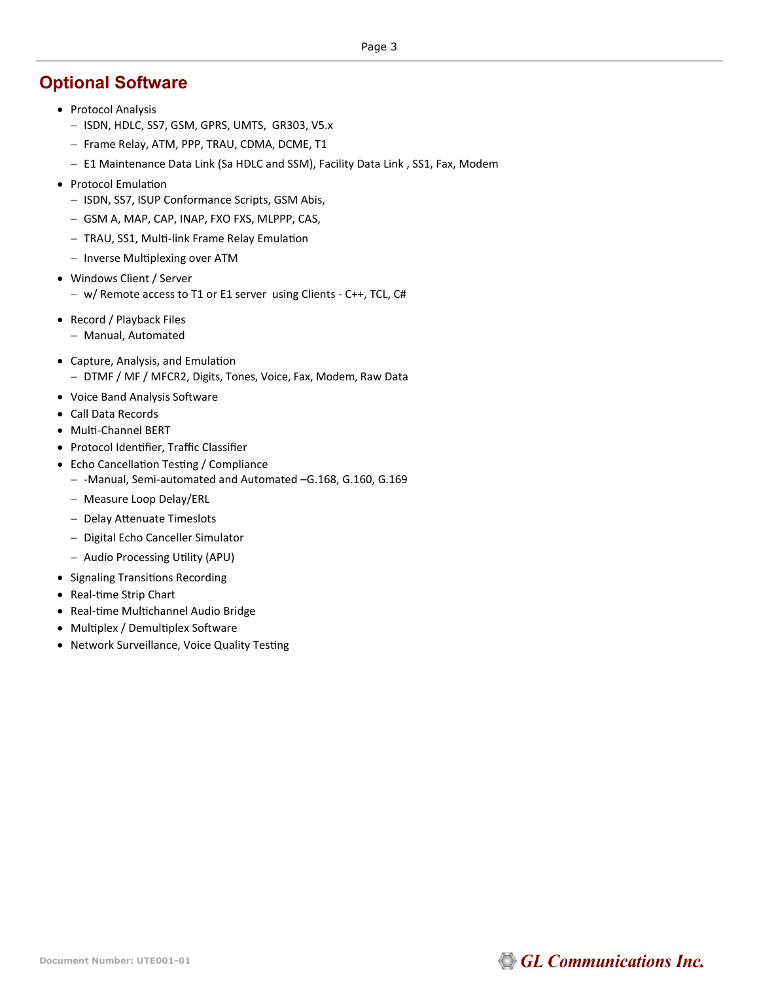#### **Optional Software**

- Protocol Analysis
	- − ISDN, HDLC, SS7, GSM, GPRS, UMTS, GR303, V5.x
	- − Frame Relay, ATM, PPP, TRAU, CDMA, DCME, T1
	- − E1 Maintenance Data Link (Sa HDLC and SSM), Facility Data Link , SS1, Fax, Modem
- Protocol Emulation
	- − ISDN, SS7, ISUP Conformance Scripts, GSM Abis,
	- − GSM A, MAP, CAP, INAP, FXO FXS, MLPPP, CAS,
	- − TRAU, SS1, Multi-link Frame Relay Emulation
	- − Inverse Multiplexing over ATM
- Windows Client / Server
	- − w/ Remote access to T1 or E1 server using Clients C++, TCL, C#
- Record / Playback Files
	- − Manual, Automated
- Capture, Analysis, and Emulation − DTMF / MF / MFCR2, Digits, Tones, Voice, Fax, Modem, Raw Data
- Voice Band Analysis Software
- Call Data Records
- Multi-Channel BERT
- Protocol Identifier, Traffic Classifier
- Echo Cancellation Testing / Compliance
	- − -Manual, Semi-automated and Automated –G.168, G.160, G.169
	- − Measure Loop Delay/ERL
	- − Delay Attenuate Timeslots
	- − Digital Echo Canceller Simulator
	- − Audio Processing Utility (APU)
- Signaling Transitions Recording
- Real-time Strip Chart
- Real-time Multichannel Audio Bridge
- Multiplex / Demultiplex Software
- Network Surveillance, Voice Quality Testing

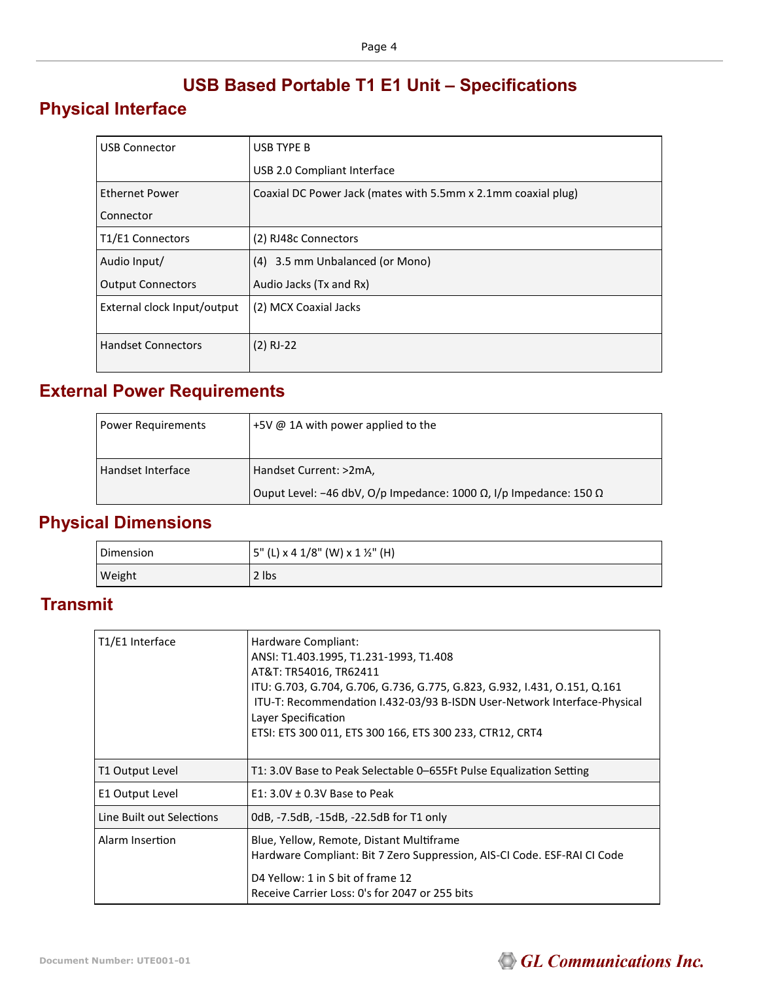## **USB Based Portable T1 E1 Unit – Specifications**

## **Physical Interface**

| <b>USB Connector</b>        | <b>USB TYPE B</b>                                             |
|-----------------------------|---------------------------------------------------------------|
|                             | USB 2.0 Compliant Interface                                   |
| <b>Ethernet Power</b>       | Coaxial DC Power Jack (mates with 5.5mm x 2.1mm coaxial plug) |
| Connector                   |                                                               |
| T1/E1 Connectors            | (2) RJ48c Connectors                                          |
| Audio Input/                | (4) 3.5 mm Unbalanced (or Mono)                               |
| <b>Output Connectors</b>    | Audio Jacks (Tx and Rx)                                       |
| External clock Input/output | (2) MCX Coaxial Jacks                                         |
|                             |                                                               |
| <b>Handset Connectors</b>   | $(2)$ RJ-22                                                   |
|                             |                                                               |

## **External Power Requirements**

| <b>Power Requirements</b> | +5V $\omega$ 1A with power applied to the                                        |
|---------------------------|----------------------------------------------------------------------------------|
| Handset Interface         | Handset Current: >2mA,                                                           |
|                           | Ouput Level: -46 dbV, O/p Impedance: 1000 $\Omega$ , I/p Impedance: 150 $\Omega$ |

# **Physical Dimensions**

| Dimension | 5" (L) x 4 1/8" (W) x 1 ½" (H) |
|-----------|--------------------------------|
| Weight    | 2 lbs                          |

## **Transmit**

| T1/E1 Interface           | Hardware Compliant:<br>ANSI: T1.403.1995, T1.231-1993, T1.408<br>AT&T: TR54016, TR62411<br>ITU: G.703, G.704, G.706, G.736, G.775, G.823, G.932, I.431, O.151, Q.161<br>ITU-T: Recommendation I.432-03/93 B-ISDN User-Network Interface-Physical<br>Layer Specification<br>ETSI: ETS 300 011, ETS 300 166, ETS 300 233, CTR12, CRT4 |
|---------------------------|-------------------------------------------------------------------------------------------------------------------------------------------------------------------------------------------------------------------------------------------------------------------------------------------------------------------------------------|
| T1 Output Level           | T1: 3.0V Base to Peak Selectable 0–655Ft Pulse Equalization Setting                                                                                                                                                                                                                                                                 |
| E1 Output Level           | $E1: 3.0V \pm 0.3V$ Base to Peak                                                                                                                                                                                                                                                                                                    |
| Line Built out Selections | 0dB, -7.5dB, -15dB, -22.5dB for T1 only                                                                                                                                                                                                                                                                                             |
| Alarm Insertion           | Blue, Yellow, Remote, Distant Multiframe<br>Hardware Compliant: Bit 7 Zero Suppression, AIS-CI Code. ESF-RAI CI Code<br>D4 Yellow: 1 in S bit of frame 12<br>Receive Carrier Loss: 0's for 2047 or 255 bits                                                                                                                         |

# **GL Communications Inc.**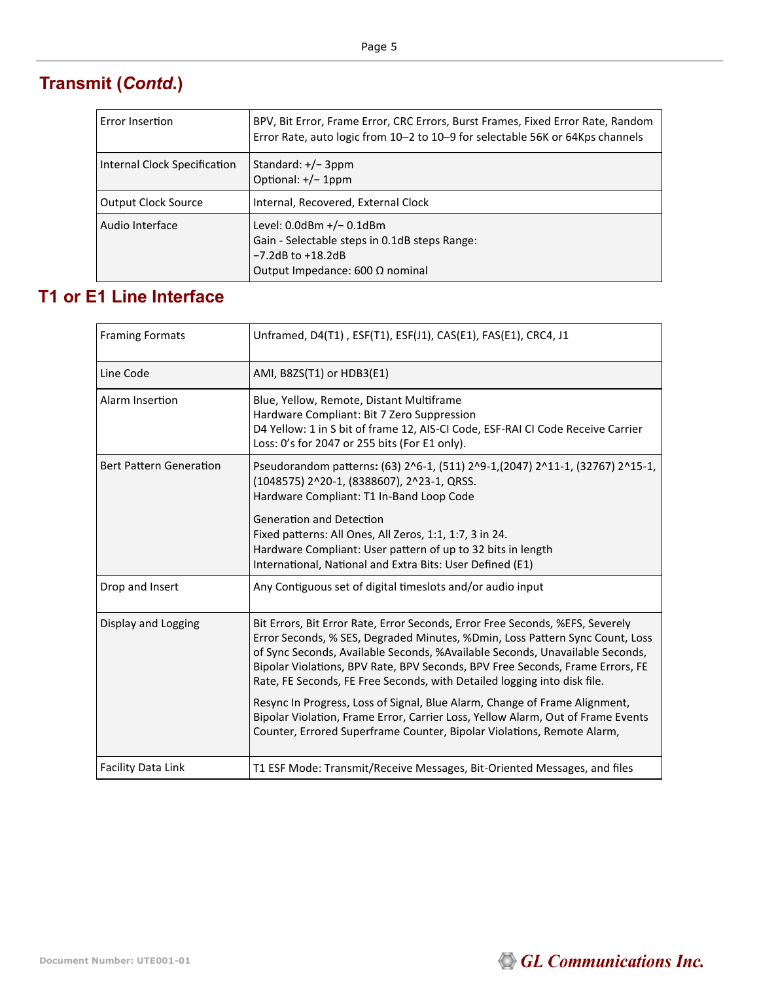# **Transmit (***Contd***.)**

| Error Insertion              | BPV, Bit Error, Frame Error, CRC Errors, Burst Frames, Fixed Error Rate, Random<br>Error Rate, auto logic from 10–2 to 10–9 for selectable 56K or 64Kps channels |
|------------------------------|------------------------------------------------------------------------------------------------------------------------------------------------------------------|
| Internal Clock Specification | Standard: $+/-$ 3ppm<br>Optional: +/- 1ppm                                                                                                                       |
| <b>Output Clock Source</b>   | Internal, Recovered, External Clock                                                                                                                              |
| Audio Interface              | Level: $0.0$ dBm $+/- 0.1$ dBm<br>Gain - Selectable steps in 0.1dB steps Range:<br>$-7.2$ dB to $+18.2$ dB<br>Output Impedance: 600 $\Omega$ nominal             |

#### **T1 or E1 Line Interface**

| <b>Framing Formats</b>         | Unframed, D4(T1), ESF(T1), ESF(J1), CAS(E1), FAS(E1), CRC4, J1                                                                                                                                                                                                                                                                                                                                             |
|--------------------------------|------------------------------------------------------------------------------------------------------------------------------------------------------------------------------------------------------------------------------------------------------------------------------------------------------------------------------------------------------------------------------------------------------------|
| Line Code                      | AMI, B8ZS(T1) or HDB3(E1)                                                                                                                                                                                                                                                                                                                                                                                  |
| Alarm Insertion                | Blue, Yellow, Remote, Distant Multiframe<br>Hardware Compliant: Bit 7 Zero Suppression<br>D4 Yellow: 1 in S bit of frame 12, AIS-CI Code, ESF-RAI CI Code Receive Carrier<br>Loss: 0's for 2047 or 255 bits (For E1 only).                                                                                                                                                                                 |
| <b>Bert Pattern Generation</b> | Pseudorandom patterns: (63) 2^6-1, (511) 2^9-1, (2047) 2^11-1, (32767) 2^15-1,<br>(1048575) 2^20-1, (8388607), 2^23-1, QRSS.<br>Hardware Compliant: T1 In-Band Loop Code                                                                                                                                                                                                                                   |
|                                | <b>Generation and Detection</b><br>Fixed patterns: All Ones, All Zeros, 1:1, 1:7, 3 in 24.<br>Hardware Compliant: User pattern of up to 32 bits in length<br>International, National and Extra Bits: User Defined (E1)                                                                                                                                                                                     |
| Drop and Insert                | Any Contiguous set of digital timeslots and/or audio input                                                                                                                                                                                                                                                                                                                                                 |
| Display and Logging            | Bit Errors, Bit Error Rate, Error Seconds, Error Free Seconds, %EFS, Severely<br>Error Seconds, % SES, Degraded Minutes, %Dmin, Loss Pattern Sync Count, Loss<br>of Sync Seconds, Available Seconds, %Available Seconds, Unavailable Seconds,<br>Bipolar Violations, BPV Rate, BPV Seconds, BPV Free Seconds, Frame Errors, FE<br>Rate, FE Seconds, FE Free Seconds, with Detailed logging into disk file. |
|                                | Resync In Progress, Loss of Signal, Blue Alarm, Change of Frame Alignment,<br>Bipolar Violation, Frame Error, Carrier Loss, Yellow Alarm, Out of Frame Events<br>Counter, Errored Superframe Counter, Bipolar Violations, Remote Alarm,                                                                                                                                                                    |
| <b>Facility Data Link</b>      | T1 ESF Mode: Transmit/Receive Messages, Bit-Oriented Messages, and files                                                                                                                                                                                                                                                                                                                                   |

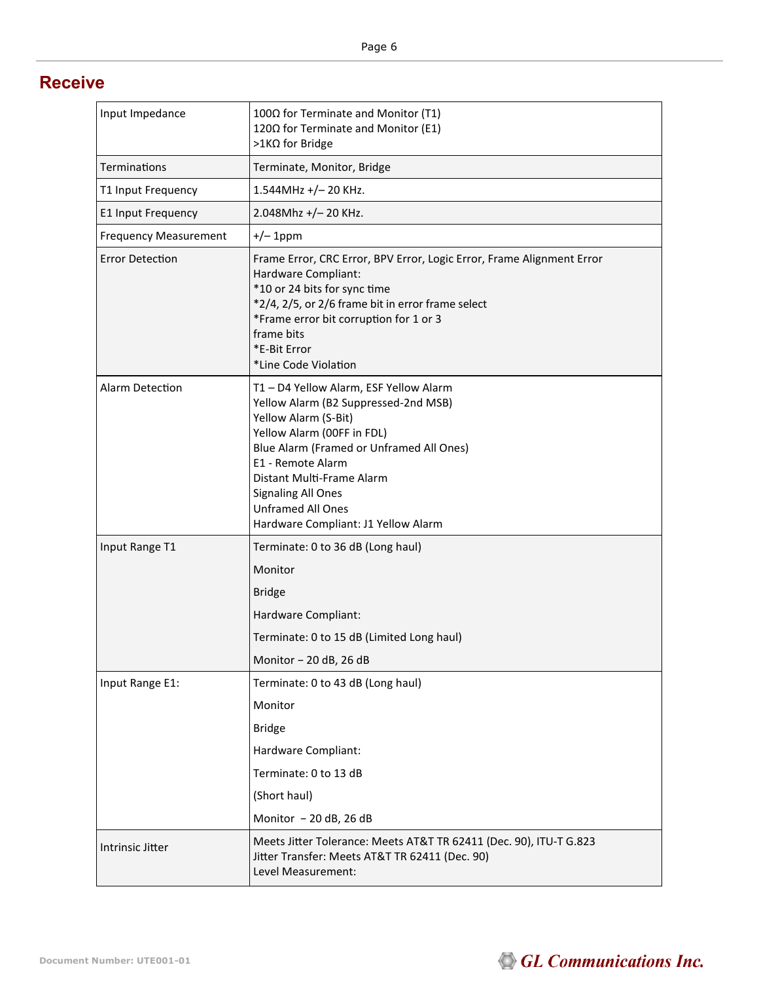#### **Receive**

| Input Impedance              | 100Ω for Terminate and Monitor (T1)<br>120Ω for Terminate and Monitor (E1)<br>>1KΩ for Bridge                                                                                                                                                                                                                                      |
|------------------------------|------------------------------------------------------------------------------------------------------------------------------------------------------------------------------------------------------------------------------------------------------------------------------------------------------------------------------------|
| Terminations                 | Terminate, Monitor, Bridge                                                                                                                                                                                                                                                                                                         |
| T1 Input Frequency           | $1.544$ MHz +/- 20 KHz.                                                                                                                                                                                                                                                                                                            |
| E1 Input Frequency           | 2.048Mhz +/-20 KHz.                                                                                                                                                                                                                                                                                                                |
| <b>Frequency Measurement</b> | $+/- 1$ ppm                                                                                                                                                                                                                                                                                                                        |
| <b>Error Detection</b>       | Frame Error, CRC Error, BPV Error, Logic Error, Frame Alignment Error<br>Hardware Compliant:<br>*10 or 24 bits for sync time<br>*2/4, 2/5, or 2/6 frame bit in error frame select<br>*Frame error bit corruption for 1 or 3<br>frame bits<br>*F-Bit Frror<br>*Line Code Violation                                                  |
| Alarm Detection              | T1 - D4 Yellow Alarm, ESF Yellow Alarm<br>Yellow Alarm (B2 Suppressed-2nd MSB)<br>Yellow Alarm (S-Bit)<br>Yellow Alarm (00FF in FDL)<br>Blue Alarm (Framed or Unframed All Ones)<br>E1 - Remote Alarm<br>Distant Multi-Frame Alarm<br><b>Signaling All Ones</b><br><b>Unframed All Ones</b><br>Hardware Compliant: J1 Yellow Alarm |
| Input Range T1               | Terminate: 0 to 36 dB (Long haul)                                                                                                                                                                                                                                                                                                  |
|                              | Monitor                                                                                                                                                                                                                                                                                                                            |
|                              | <b>Bridge</b>                                                                                                                                                                                                                                                                                                                      |
|                              | Hardware Compliant:                                                                                                                                                                                                                                                                                                                |
|                              | Terminate: 0 to 15 dB (Limited Long haul)                                                                                                                                                                                                                                                                                          |
|                              | Monitor - 20 dB, 26 dB                                                                                                                                                                                                                                                                                                             |
| Input Range E1:              | Terminate: 0 to 43 dB (Long haul)                                                                                                                                                                                                                                                                                                  |
|                              | Monitor                                                                                                                                                                                                                                                                                                                            |
|                              | Bridge                                                                                                                                                                                                                                                                                                                             |
|                              | Hardware Compliant:                                                                                                                                                                                                                                                                                                                |
|                              | Terminate: 0 to 13 dB                                                                                                                                                                                                                                                                                                              |
|                              | (Short haul)                                                                                                                                                                                                                                                                                                                       |
|                              | Monitor - 20 dB, 26 dB                                                                                                                                                                                                                                                                                                             |
| Intrinsic Jitter             | Meets Jitter Tolerance: Meets AT&T TR 62411 (Dec. 90), ITU-T G.823<br>Jitter Transfer: Meets AT&T TR 62411 (Dec. 90)<br>Level Measurement:                                                                                                                                                                                         |

### GL Communications Inc.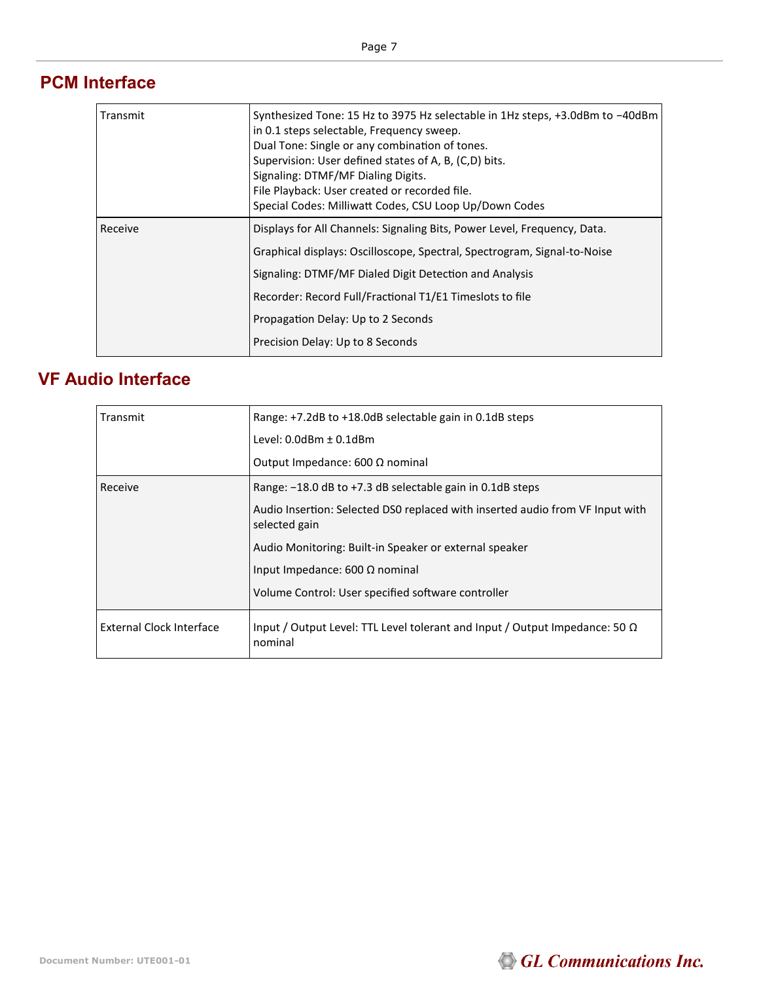#### **PCM Interface**

| Transmit | Synthesized Tone: 15 Hz to 3975 Hz selectable in 1Hz steps, +3.0dBm to -40dBm<br>in 0.1 steps selectable, Frequency sweep.<br>Dual Tone: Single or any combination of tones.<br>Supervision: User defined states of A, B, (C,D) bits.<br>Signaling: DTMF/MF Dialing Digits.<br>File Playback: User created or recorded file.<br>Special Codes: Milliwatt Codes, CSU Loop Up/Down Codes |
|----------|----------------------------------------------------------------------------------------------------------------------------------------------------------------------------------------------------------------------------------------------------------------------------------------------------------------------------------------------------------------------------------------|
| Receive  | Displays for All Channels: Signaling Bits, Power Level, Frequency, Data.<br>Graphical displays: Oscilloscope, Spectral, Spectrogram, Signal-to-Noise<br>Signaling: DTMF/MF Dialed Digit Detection and Analysis<br>Recorder: Record Full/Fractional T1/E1 Timeslots to file<br>Propagation Delay: Up to 2 Seconds                                                                       |
|          | Precision Delay: Up to 8 Seconds                                                                                                                                                                                                                                                                                                                                                       |

## **VF Audio Interface**

| Transmit                 | Range: +7.2dB to +18.0dB selectable gain in 0.1dB steps                                        |
|--------------------------|------------------------------------------------------------------------------------------------|
|                          | Level: $0.0$ dBm $\pm$ $0.1$ dBm                                                               |
|                          | Output Impedance: 600 $\Omega$ nominal                                                         |
| Receive                  | Range: -18.0 dB to +7.3 dB selectable gain in 0.1dB steps                                      |
|                          | Audio Insertion: Selected DS0 replaced with inserted audio from VF Input with<br>selected gain |
|                          | Audio Monitoring: Built-in Speaker or external speaker                                         |
|                          | Input Impedance: 600 $\Omega$ nominal                                                          |
|                          | Volume Control: User specified software controller                                             |
| External Clock Interface | Input / Output Level: TTL Level tolerant and Input / Output Impedance: 50 $\Omega$<br>nominal  |